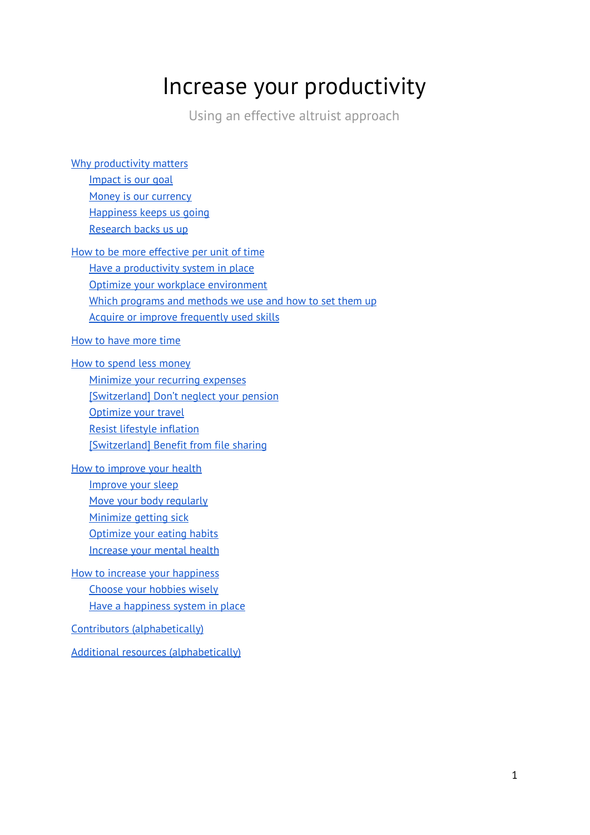# Increase your productivity

Using an effective altruist approach

| Why productivity matters                                 |
|----------------------------------------------------------|
| Impact is our goal                                       |
| Money is our currency                                    |
| Happiness keeps us going                                 |
| Research backs us up                                     |
| How to be more effective per unit of time                |
| Have a productivity system in place                      |
| Optimize your workplace environment                      |
| Which programs and methods we use and how to set them up |
| Acquire or improve frequently used skills                |
| How to have more time                                    |
| How to spend less money                                  |
| Minimize your recurring expenses                         |
| [Switzerland] Don't neglect your pension                 |
| Optimize your travel                                     |
| <b>Resist lifestyle inflation</b>                        |
| [Switzerland] Benefit from file sharing                  |
| How to improve your health                               |
| Improve your sleep                                       |
| Move your body regularly                                 |
| Minimize getting sick                                    |
| Optimize your eating habits                              |
| Increase your mental health                              |
| How to increase your happiness                           |
| Choose your hobbies wisely                               |
| Have a happiness system in place                         |
| Contributors (alphabetically)                            |
| <b>Additional resources (alphabetically)</b>             |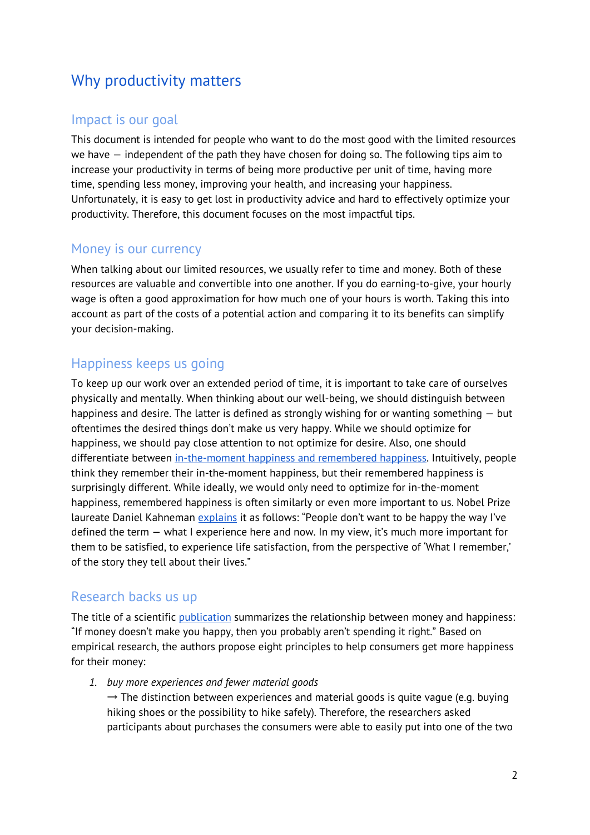# <span id="page-1-0"></span>Why productivity matters

#### <span id="page-1-1"></span>Impact is our goal

This document is intended for people who want to do the most good with the limited resources we have — independent of the path they have chosen for doing so. The following tips aim to increase your productivity in terms of being more productive per unit of time, having more time, spending less money, improving your health, and increasing your happiness. Unfortunately, it is easy to get lost in productivity advice and hard to effectively optimize your productivity. Therefore, this document focuses on the most impactful tips.

### <span id="page-1-2"></span>Money is our currency

When talking about our limited resources, we usually refer to time and money. Both of these resources are valuable and convertible into one another. If you do earning-to-give, your hourly wage is often a good approximation for how much one of your hours is worth. Taking this into account as part of the costs of a potential action and comparing it to its benefits can simplify your decision-making.

### <span id="page-1-3"></span>Happiness keeps us going

To keep up our work over an extended period of time, it is important to take care of ourselves physically and mentally. When thinking about our well-being, we should distinguish between happiness and desire. The latter is defined as strongly wishing for or wanting something — but oftentimes the desired things don't make us very happy. While we should optimize for happiness, we should pay close attention to not optimize for desire. Also, one should differentiate between [in-the-moment](https://www.youtube.com/watch?v=XgRlrBl-7Yg) happiness and remembered happiness. Intuitively, people think they remember their in-the-moment happiness, but their remembered happiness is surprisingly different. While ideally, we would only need to optimize for in-the-moment happiness, remembered happiness is often similarly or even more important to us. Nobel Prize laureate Daniel Kahneman [explains](https://conversableeconomist.blogspot.com/2019/01/daniel-kahneman-people-dont-want-to-be.html) it as follows: "People don't want to be happy the way I've defined the term — what I experience here and now. In my view, it's much more important for them to be satisfied, to experience life satisfaction, from the perspective of 'What I remember,' of the story they tell about their lives."

#### <span id="page-1-4"></span>Research backs us up

The title of a scientific *[publication](http://www.danielgilbert.com/DUNN%20GILBERT%20&%20WILSON%20(2011).pdf)* summarizes the relationship between money and happiness: "If money doesn't make you happy, then you probably aren't spending it right." Based on empirical research, the authors propose eight principles to help consumers get more happiness for their money:

*1. buy more experiences and fewer material goods*

 $\rightarrow$  The distinction between experiences and material goods is quite vague (e.g. buying hiking shoes or the possibility to hike safely). Therefore, the researchers asked participants about purchases the consumers were able to easily put into one of the two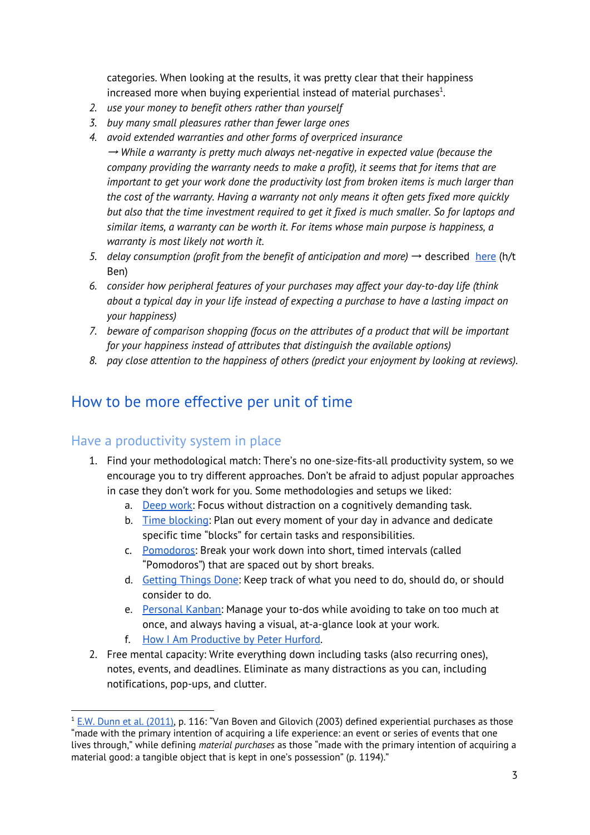categories. When looking at the results, it was pretty clear that their happiness increased more when buying experiential instead of material purchases $^1$ .

- *2. use your money to benefit others rather than yourself*
- *3. buy many small pleasures rather than fewer large ones*
- *4. avoid extended warranties and other forms of overpriced insurance* → *While a warranty is pretty much always net-negative in expected value (because the company providing the warranty needs to make a profit), it seems that for items that are important to get your work done the productivity lost from broken items is much larger than the cost of the warranty. Having a warranty not only means it often gets fixed more quickly but also that the time investment required to get it fixed is much smaller. So for laptops and similar items, a warranty can be worth it. For items whose main purpose is happiness, a warranty is most likely not worth it.*
- *5. delay consumption (profit from the benefit of anticipation and more)* → described [here](http://kai.sub.blue/en/meanderae.html) (h/t Ben)
- *6. consider how peripheral features of your purchases may affect your day-to-day life (think about a typical day in your life instead of expecting a purchase to have a lasting impact on your happiness)*
- *7. beware of comparison shopping (focus on the attributes of a product that will be important for your happiness instead of attributes that distinguish the available options)*
- <span id="page-2-0"></span>*8. pay close attention to the happiness of others (predict your enjoyment by looking at reviews).*

# How to be more effective per unit of time

#### <span id="page-2-1"></span>Have a productivity system in place

- 1. Find your methodological match: There's no one-size-fits-all productivity system, so we encourage you to try different approaches. Don't be afraid to adjust popular approaches in case they don't work for you. Some methodologies and setups we liked:
	- a. [Deep](https://www.calnewport.com/books/deep-work/) work: Focus without distraction on a cognitively demanding task.
	- b. Time [blocking:](https://www.calnewport.com/blog/2013/12/21/deep-habits-the-importance-of-planning-every-minute-of-your-work-day/) Plan out every moment of your day in advance and dedicate specific time "blocks" for certain tasks and responsibilities.
	- c. [Pomodoros](https://lifehacker.com/productivity-101-a-primer-to-the-pomodoro-technique-1598992730): Break your work down into short, timed intervals (called "Pomodoros") that are spaced out by short breaks.
	- d. [Getting](https://lifehacker.com/productivity-101-a-primer-to-the-getting-things-done-1551880955) Things Done: Keep track of what you need to do, should do, or should consider to do.
	- e. [Personal](https://lifehacker.com/productivity-101-how-to-use-personal-kanban-to-visuali-1687948640) Kanban: Manage your to-dos while avoiding to take on too much at once, and always having a visual, at-a-glance look at your work.
	- f. How I Am [Productive](http://everydayutilitarian.com/essays/how-i-am-productive/) by Peter Hurford.
- 2. Free mental capacity: Write everything down including tasks (also recurring ones), notes, events, and deadlines. Eliminate as many distractions as you can, including notifications, pop-ups, and clutter.

 $1$  E.W. Dunn et al. [\(2011\),](http://www.danielgilbert.com/DUNN%20GILBERT%20&%20WILSON%20(2011).pdf) p. 116: "Van Boven and Gilovich (2003) defined experiential purchases as those "made with the primary intention of acquiring a life experience: an event or series of events that one lives through," while defining *material purchases* as those "made with the primary intention of acquiring a material good: a tangible object that is kept in one's possession" (p. 1194)."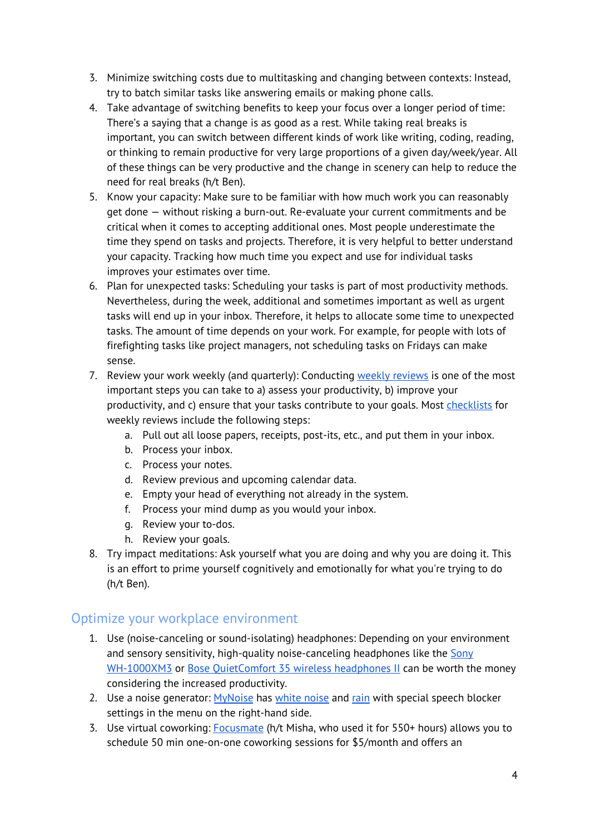- 3. Minimize switching costs due to multitasking and changing between contexts: Instead, try to batch similar tasks like answering emails or making phone calls.
- 4. Take advantage of switching benefits to keep your focus over a longer period of time: There's a saying that a change is as good as a rest. While taking real breaks is important, you can switch between different kinds of work like writing, coding, reading, or thinking to remain productive for very large proportions of a given day/week/year. All of these things can be very productive and the change in scenery can help to reduce the need for real breaks (h/t Ben).
- 5. Know your capacity: Make sure to be familiar with how much work you can reasonably get done — without risking a burn-out. Re-evaluate your current commitments and be critical when it comes to accepting additional ones. Most people underestimate the time they spend on tasks and projects. Therefore, it is very helpful to better understand your capacity. Tracking how much time you expect and use for individual tasks improves your estimates over time.
- 6. Plan for unexpected tasks: Scheduling your tasks is part of most productivity methods. Nevertheless, during the week, additional and sometimes important as well as urgent tasks will end up in your inbox. Therefore, it helps to allocate some time to unexpected tasks. The amount of time depends on your work. For example, for people with lots of firefighting tasks like project managers, not scheduling tasks on Fridays can make sense.
- 7. Review your work weekly (and quarterly): Conducting weekly [reviews](https://www.benkuhn.net/weekly/) is one of the most important steps you can take to a) assess your productivity, b) improve your productivity, and c) ensure that your tasks contribute to your goals. Most [checklists](https://zenhabits.net/weekly-review-key-to-gtd-and-achieving/) for weekly reviews include the following steps:
	- a. Pull out all loose papers, receipts, post-its, etc., and put them in your inbox.
	- b. Process your inbox.
	- c. Process your notes.
	- d. Review previous and upcoming calendar data.
	- e. Empty your head of everything not already in the system.
	- f. Process your mind dump as you would your inbox.
	- g. Review your to-dos.
	- h. Review your goals.
- 8. Try impact meditations: Ask yourself what you are doing and why you are doing it. This is an effort to prime yourself cognitively and emotionally for what you're trying to do (h/t Ben).

#### <span id="page-3-0"></span>Optimize your workplace environment

- 1. Use (noise-canceling or sound-isolating) headphones: Depending on your environment and sensory sensitivity, high-quality noise-canceling headphones like the [Sony](https://www.sony.com/electronics/headband-headphones/wh-1000xm3) [WH-1000XM3](https://www.sony.com/electronics/headband-headphones/wh-1000xm3) or Bose OuietComfort 35 wireless headphones II can be worth the money considering the increased productivity.
- 2. Use a noise generator: [MyNoise](https://mynoise.net/noiseMachines.php) has [white](https://mynoise.net/NoiseMachines/whiteNoiseGenerator.php) noise and [rain](https://mynoise.net/NoiseMachines/whiteRainNoiseGenerator.php) with special speech blocker settings in the menu on the right-hand side.
- 3. Use virtual coworking: [Focusmate](https://www.focusmate.com/) (h/t Misha, who used it for 550+ hours) allows you to schedule 50 min one-on-one coworking sessions for \$5/month and offers an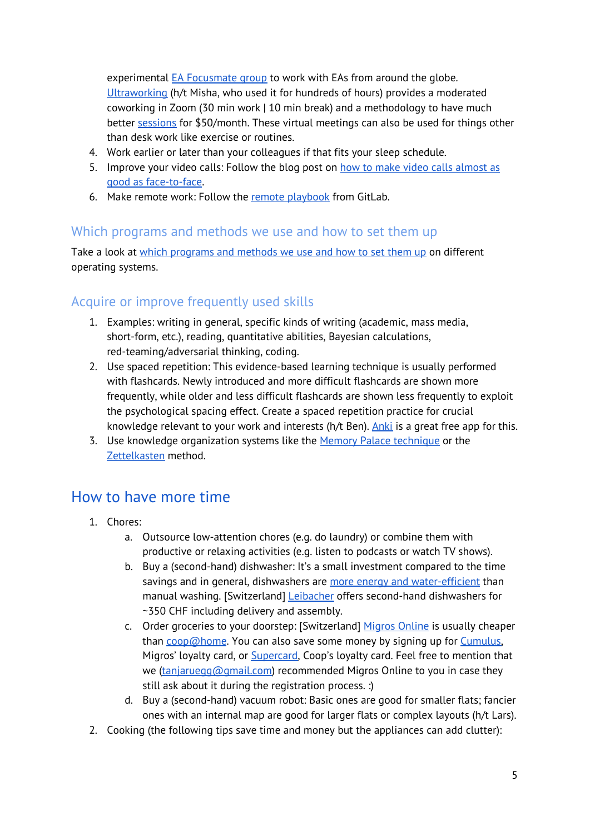experimental EA [Focusmate](https://www.focusmate.com/signup/EffectiveAltruism) group to work with EAs from around the globe. [Ultraworking](https://www.ultraworking.com/) (h/t Misha, who used it for hundreds of hours) provides a moderated coworking in Zoom (30 min work | 10 min break) and a methodology to have much better [sessions](https://www.ultraworking.com/twg#) for \$50/month. These virtual meetings can also be used for things other than desk work like exercise or routines.

- 4. Work earlier or later than your colleagues if that fits your sleep schedule.
- 5. Improve your video calls: Follow the blog post on how to make video calls [almost](https://www.benkuhn.net/vc/) as good as [face-to-face](https://www.benkuhn.net/vc/).
- 6. Make remote work: Follow the remote [playbook](https://www.tanjaruegg.com/remoteplaybook.pdf) from GitLab.

#### <span id="page-4-0"></span>Which programs and methods we use and how to set them up

Take a look at which [programs](https://docs.google.com/document/d/1Y-21CUQX-SrRyxMIXrCViRXh5Shn-zrhDO0UnPZD_MQ/edit?usp=sharing) and methods we use and how to set them up on different operating systems.

### <span id="page-4-1"></span>Acquire or improve frequently used skills

- 1. Examples: writing in general, specific kinds of writing (academic, mass media, short-form, etc.), reading, quantitative abilities, Bayesian calculations, red-teaming/adversarial thinking, coding.
- 2. Use spaced repetition: This evidence-based learning technique is usually performed with flashcards. Newly introduced and more difficult flashcards are shown more frequently, while older and less difficult flashcards are shown less frequently to exploit the psychological spacing effect. Create a spaced repetition practice for crucial knowledge relevant to your work and interests (h/t Ben). [Anki](https://apps.ankiweb.net/) is a great free app for this.
- 3. Use knowledge organization systems like the Memory Palace [technique](https://artofmemory.com/wiki/How_to_Build_a_Memory_Palace) or the [Zettelkasten](https://www.lesswrong.com/posts/NfdHG6oHBJ8Qxc26s/the-zettelkasten-method-1) method.

# <span id="page-4-2"></span>How to have more time

- 1. Chores:
	- a. Outsource low-attention chores (e.g. do laundry) or combine them with productive or relaxing activities (e.g. listen to podcasts or watch TV shows).
	- b. Buy a (second-hand) dishwasher: It's a small investment compared to the time savings and in general, dishwashers are more energy and [water-efficient](https://grist.org/climate/science-dishes-out-an-answer-on-the-old-handwashing-vs-dishwasher-debate/) than manual washing. [Switzerland] [Leibacher](https://www.ricardo.ch/de/ratings/leibacherhaushalt) offers second-hand dishwashers for ~350 CHF including delivery and assembly.
	- c. Order groceries to your doorstep: [Switzerland] [Migros](https://shop.migros.ch/de/supermarket/home) Online is usually cheaper than  $\frac{\text{coop@home}}{\text{Home}}$  $\frac{\text{coop@home}}{\text{Home}}$  $\frac{\text{coop@home}}{\text{Home}}$ . You can also save some money by signing up for  $\frac{\text{Cumulus}}{\text{sumulus}}$ Migros' loyalty card, or [Supercard,](https://www.coop.ch/de/unternehmen/kontakt/kategorienuebersicht/supercard.html) Coop's loyalty card. Feel free to mention that we ([tanjaruegg@gmail.com\)](mailto:tanjaruegg@gmail.com) recommended Migros Online to you in case they still ask about it during the registration process. :)
	- d. Buy a (second-hand) vacuum robot: Basic ones are good for smaller flats; fancier ones with an internal map are good for larger flats or complex layouts (h/t Lars).
- 2. Cooking (the following tips save time and money but the appliances can add clutter):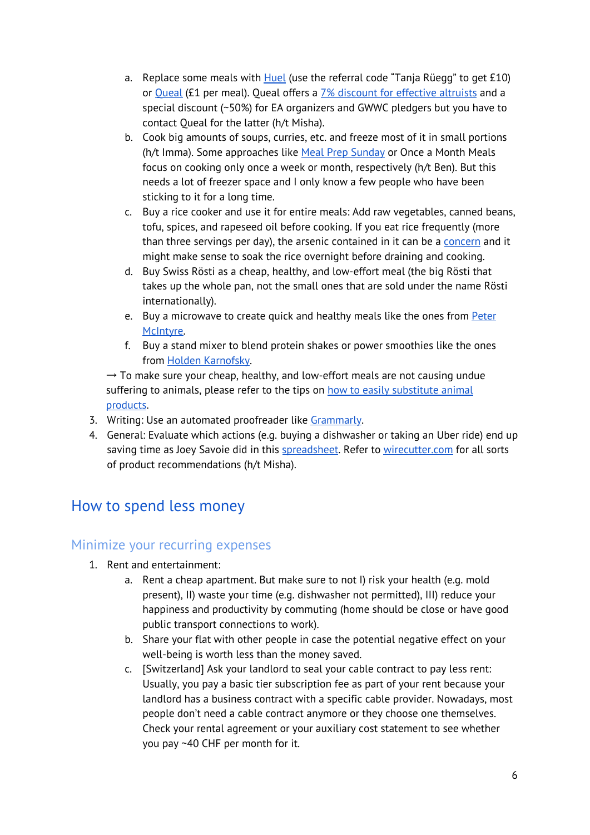- a. Replace some meals with  $Huel$  (use the referral code "Tanja Rüegg" to get £10) or **[Queal](https://queal.com/) (£1 per meal). Queal offers a** 7% discount for [effective](https://queal.com/ea) altruists and a special discount (~50%) for EA organizers and GWWC pledgers but you have to contact Queal for the latter (h/t Misha).
- b. Cook big amounts of soups, curries, etc. and freeze most of it in small portions (h/t Imma). Some approaches like Meal Prep [Sunday](https://www.reddit.com/r/MealPrepSunday/) or Once a Month Meals focus on cooking only once a week or month, respectively (h/t Ben). But this needs a lot of freezer space and I only know a few people who have been sticking to it for a long time.
- c. Buy a rice cooker and use it for entire meals: Add raw vegetables, canned beans, tofu, spices, and rapeseed oil before cooking. If you eat rice frequently (more than three servings per day), the arsenic contained in it can be a [concern](https://www.youtube.com/watch?v=EIM_zjCmQ5Y) and it might make sense to soak the rice overnight before draining and cooking.
- d. Buy Swiss Rösti as a cheap, healthy, and low-effort meal (the big Rösti that takes up the whole pan, not the small ones that are sold under the name Rösti internationally).
- e. Buy a microwave to create quick and healthy meals like the ones from [Peter](https://web.archive.org/web/20180112135408/http://mcntyr.com/peter-special/) [McIntyre](https://web.archive.org/web/20180112135408/http://mcntyr.com/peter-special/).
- f. Buy a stand mixer to blend protein shakes or power smoothies like the ones from Holden [Karnofsky](http://powersmoothie.org/).

 $\rightarrow$  To make sure your cheap, healthy, and low-effort meals are not causing undue suffering to animals, please refer to the tips on how to easily [substitute](#page-12-0) animal [products](#page-12-0).

- 3. Writing: Use an automated proofreader like [Grammarly.](https://addons.mozilla.org/en-US/firefox/addon/grammarly-1/)
- 4. General: Evaluate which actions (e.g. buying a dishwasher or taking an Uber ride) end up saving time as Joey Savoie did in this [spreadsheet.](https://docs.google.com/spreadsheets/d/1TOfg-rRd-Jd2B0sUVOPryWbcpZsn3_2349v0BuZUzZ4/edit?fbclid=IwAR3LDah1BD949bzuUPzAKb7akPwIjdi_lEYhbl6NMDl_z5Oa6O0nC2BZ5Ag#gid=0) Refer to [wirecutter.com](https://www.nytimes.com/wirecutter/) for all sorts of product recommendations (h/t Misha).

# <span id="page-5-0"></span>How to spend less money

### <span id="page-5-1"></span>Minimize your recurring expenses

- 1. Rent and entertainment:
	- a. Rent a cheap apartment. But make sure to not I) risk your health (e.g. mold present), II) waste your time (e.g. dishwasher not permitted), III) reduce your happiness and productivity by commuting (home should be close or have good public transport connections to work).
	- b. Share your flat with other people in case the potential negative effect on your well-being is worth less than the money saved.
	- c. [Switzerland] Ask your landlord to seal your cable contract to pay less rent: Usually, you pay a basic tier subscription fee as part of your rent because your landlord has a business contract with a specific cable provider. Nowadays, most people don't need a cable contract anymore or they choose one themselves. Check your rental agreement or your auxiliary cost statement to see whether you pay ~40 CHF per month for it.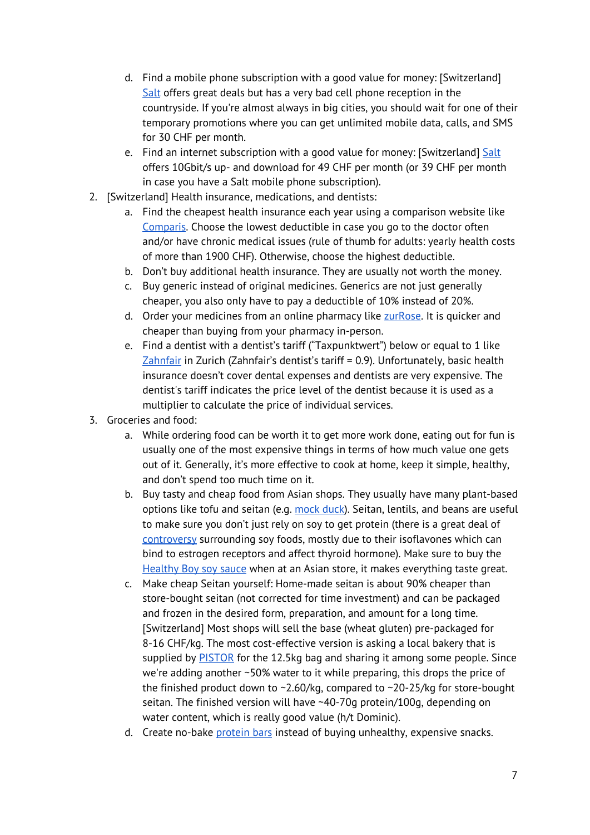- d. Find a mobile phone subscription with a good value for money: [Switzerland] [Salt](https://www.salt.ch/en/) offers great deals but has a very bad cell phone reception in the countryside. If you're almost always in big cities, you should wait for one of their temporary promotions where you can get unlimited mobile data, calls, and SMS for 30 CHF per month.
- e. Find an internet subscription with a good value for money: [Switzerland] [Salt](https://www.salt.ch/en/) offers 10Gbit/s up- and download for 49 CHF per month (or 39 CHF per month in case you have a Salt mobile phone subscription).
- 2. [Switzerland] Health insurance, medications, and dentists:
	- a. Find the cheapest health insurance each year using a comparison website like [Comparis.](https://en.comparis.ch/) Choose the lowest deductible in case you go to the doctor often and/or have chronic medical issues (rule of thumb for adults: yearly health costs of more than 1900 CHF). Otherwise, choose the highest deductible.
	- b. Don't buy additional health insurance. They are usually not worth the money.
	- c. Buy generic instead of original medicines. Generics are not just generally cheaper, you also only have to pay a deductible of 10% instead of 20%.
	- d. Order your medicines from an online pharmacy like [zurRose.](https://www.zurrose.ch/) It is quicker and cheaper than buying from your pharmacy in-person.
	- e. Find a dentist with a dentist's tariff ("Taxpunktwert") below or equal to 1 like [Zahnfair](https://www.zahnfair.ch/) in Zurich (Zahnfair's dentist's tariff = 0.9). Unfortunately, basic health insurance doesn't cover dental expenses and dentists are very expensive. The dentist's tariff indicates the price level of the dentist because it is used as a multiplier to calculate the price of individual services.
- 3. Groceries and food:
	- a. While ordering food can be worth it to get more work done, eating out for fun is usually one of the most expensive things in terms of how much value one gets out of it. Generally, it's more effective to cook at home, keep it simple, healthy, and don't spend too much time on it.
	- b. Buy tasty and cheap food from Asian shops. They usually have many plant-based options like tofu and seitan (e.g. [mock](https://www.google.com/imgres?imgurl=https://images-na.ssl-images-amazon.com/images/I/51kyLSq5tgL._SY445_.jpg&imgrefurl=https://www.amazon.co.uk/Chung-Mock-Duck-Vegetarian-280/dp/B006GC4I9A&h=445&w=271&tbnid=svnOoZngDMvocM:&q=mock+abalone&tbnh=151&tbnw=92&usg=__reJXn6eY966G1g1tA1YwrlBevHk%3D&vet=10ahUKEwiavqytgbjcAhVSKewKHeaAB58Q_B0I1QEwGQ..i&docid=jx232bN0iicAlM&itg=1&client=ubuntu&sa=X&ved=0ahUKEwiavqytgbjcAhVSKewKHeaAB58Q_B0I1QEwGQ) duck). Seitan, lentils, and beans are useful to make sure you don't just rely on soy to get protein (there is a great deal of [controversy](https://veganhealth.org/soy-part-1/#thyroid) surrounding soy foods, mostly due to their isoflavones which can bind to estrogen receptors and affect thyroid hormone). Make sure to buy the [Healthy](https://www.amazon.com/Healthy-Boy-Brand-Mushroom-Sauce/dp/B007YY6O2I) Boy soy sauce when at an Asian store, it makes everything taste great.
	- c. Make cheap Seitan yourself: Home-made seitan is about 90% cheaper than store-bought seitan (not corrected for time investment) and can be packaged and frozen in the desired form, preparation, and amount for a long time. [Switzerland] Most shops will sell the base (wheat gluten) pre-packaged for 8-16 CHF/kg. The most cost-effective version is asking a local bakery that is supplied by **[PISTOR](https://www.pistorone.ch/index.php/locale:de_CH/catalog2/products/11929/backerei-confiseriehalbfabrikate/starkepulver/weizenstarkeweizengluten/weizengluten-weizenkleber)** for the 12.5kg bag and sharing it among some people. Since we're adding another ~50% water to it while preparing, this drops the price of the finished product down to ~2.60/kg, compared to ~20-25/kg for store-bought seitan. The finished version will have ~40-70g protein/100g, depending on water content, which is really good value (h/t Dominic).
	- d. Create no-bake [protein](https://darebee.com/recipes/homemade-no-bake-protein-bars.html) bars instead of buying unhealthy, expensive snacks.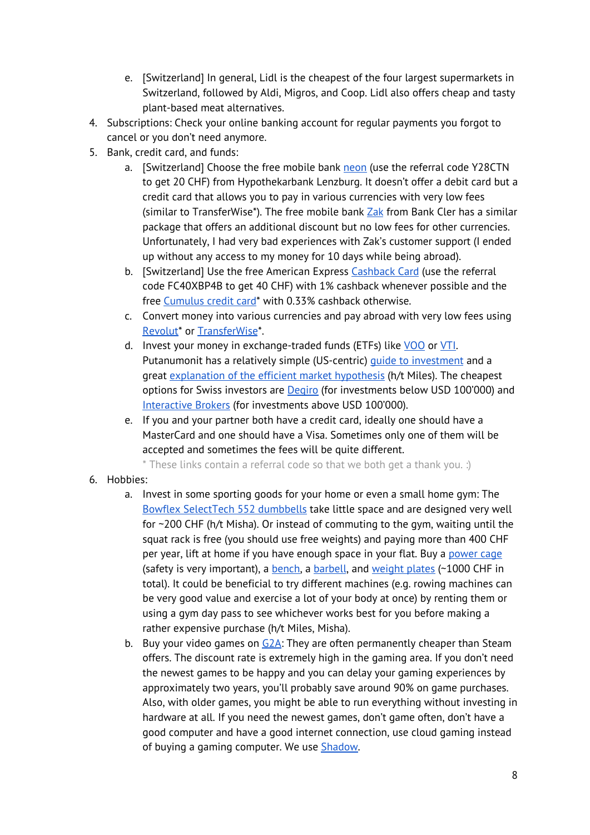- e. [Switzerland] In general, Lidl is the cheapest of the four largest supermarkets in Switzerland, followed by Aldi, Migros, and Coop. Lidl also offers cheap and tasty plant-based meat alternatives.
- 4. Subscriptions: Check your online banking account for regular payments you forgot to cancel or you don't need anymore.
- 5. Bank, credit card, and funds:
	- a. [Switzerland] Choose the free mobile bank [neon](https://www.neon-free.ch/en/) (use the referral code Y28CTN to get 20 CHF) from Hypothekarbank Lenzburg. It doesn't offer a debit card but a credit card that allows you to pay in various currencies with very low fees (similar to TransferWise\*). The free mobile bank  $Zak$  from Bank Cler has a similar package that offers an additional discount but no low fees for other currencies. Unfortunately, I had very bad experiences with Zak's customer support (I ended up without any access to my money for 10 days while being abroad).
	- b. [Switzerland] Use the free American Express [Cashback](https://www.cashback-cards.ch/en) Card (use the referral code FC40XBP4B to get 40 CHF) with 1% cashback whenever possible and the free [Cumulus](https://www2.cembra.ch/mgm.html?mgm=32b9b6768da19e183e7ff557b55c560d) credit card<sup>\*</sup> with 0.33% cashback otherwise.
	- c. Convert money into various currencies and pay abroad with very low fees using [Revolut](https://revolut.com/referral/tanjabfo0)\* or [TransferWise](https://transferwise.com/invite/a/tanjar48)\*.
	- d. Invest your money in exchange-traded funds (ETFs) like [VOO](https://finance.yahoo.com/quote/VOO/) or [VTI.](https://finance.yahoo.com/quote/VTI/) Putanumonit has a relatively simple (US-centric) guide to [investment](https://putanumonit.com/2017/02/10/get-rich-slowly/) and a great [explanation](https://putanumonit.com/2020/02/27/seeing-the-smoke/) of the efficient market hypothesis (h/t Miles). The cheapest options for Swiss investors are **[Degiro](https://www.degiro.eu/)** (for investments below USD 100'000) and [Interactive](https://www.interactivebrokers.com/) Brokers (for investments above USD 100'000).
	- e. If you and your partner both have a credit card, ideally one should have a MasterCard and one should have a Visa. Sometimes only one of them will be accepted and sometimes the fees will be quite different.

\* These links contain a referral code so that we both get a thank you. :)

- 6. Hobbies:
	- a. Invest in some sporting goods for your home or even a small home gym: The Bowflex [SelectTech](https://www.fitness-superstore.co.uk/bowflex-2-24-kg-selecttech-dumbbells-pair.html) 552 dumbbells take little space and are designed very well for ~200 CHF (h/t Misha). Or instead of commuting to the gym, waiting until the squat rack is free (you should use free weights) and paying more than 400 CHF per year, lift at home if you have enough space in your flat. Buy a [power](https://www.gorillasports.ch/de/fitnessgeraete/hantelstaender/power-cage-gorilla-sports) cage (safety is very important), a [bench](https://www.gorillasports.ch/de/fitnessgeraete/hantelbank/multi-flachbank-weiss-schwarz), a [barbell](https://www.gorillasports.ch/de/hantelstangen/olympia-50-51-mm/langhantelstange-federverschluss-218cm-x-50mm-olympia), and [weight](https://www.gonser.ch/hantelscheibe-gripper-gewicht-10-kg/sport-freizeit/fitness-krafttraining/hantelstangen-gewichte/a-2438/) plates (~1000 CHF in total). It could be beneficial to try different machines (e.g. rowing machines can be very good value and exercise a lot of your body at once) by renting them or using a gym day pass to see whichever works best for you before making a rather expensive purchase (h/t Miles, Misha).
	- b. Buy your video games on  $G2A$ : They are often permanently cheaper than Steam offers. The discount rate is extremely high in the gaming area. If you don't need the newest games to be happy and you can delay your gaming experiences by approximately two years, you'll probably save around 90% on game purchases. Also, with older games, you might be able to run everything without investing in hardware at all. If you need the newest games, don't game often, don't have a good computer and have a good internet connection, use cloud gaming instead of buying a gaming computer. We use **Shadow**.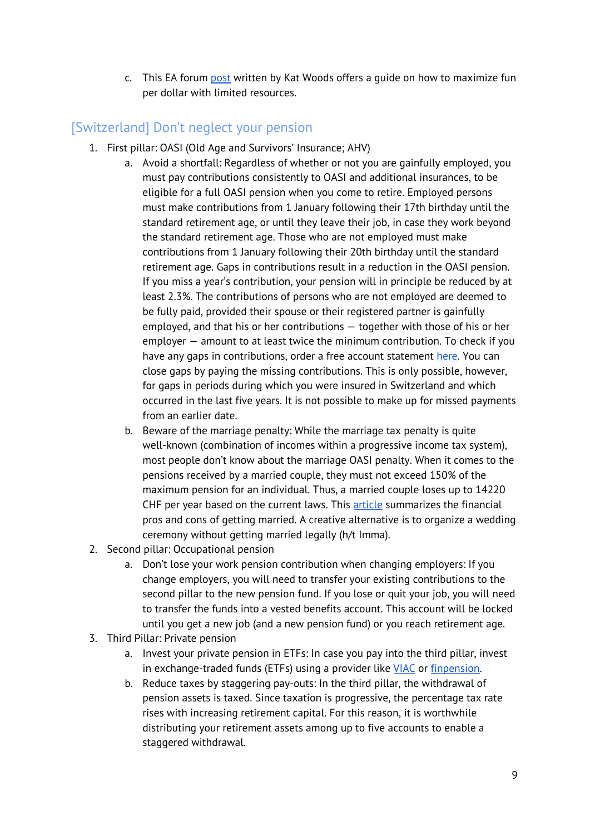c. This EA forum [post](https://forum.effectivealtruism.org/posts/oQCew7TYn35HycJpq/how-to-have-cost-effective-fun) written by Kat Woods offers a guide on how to maximize fun per dollar with limited resources.

# <span id="page-8-0"></span>[Switzerland] Don't neglect your pension

- 1. First pillar: OASI (Old Age and Survivors' Insurance; AHV)
	- a. Avoid a shortfall: Regardless of whether or not you are gainfully employed, you must pay contributions consistently to OASI and additional insurances, to be eligible for a full OASI pension when you come to retire. Employed persons must make contributions from 1 January following their 17th birthday until the standard retirement age, or until they leave their job, in case they work beyond the standard retirement age. Those who are not employed must make contributions from 1 January following their 20th birthday until the standard retirement age. Gaps in contributions result in a reduction in the OASI pension. If you miss a year's contribution, your pension will in principle be reduced by at least 2.3%. The contributions of persons who are not employed are deemed to be fully paid, provided their spouse or their registered partner is gainfully employed, and that his or her contributions — together with those of his or her employer — amount to at least twice the minimum contribution. To check if you have any gaps in contributions, order a free account statement [here](https://www.ahv-iv.ch/en/Leaflets-forms/Statement-of-the-individual-account/Switzerland). You can close gaps by paying the missing contributions. This is only possible, however, for gaps in periods during which you were insured in Switzerland and which occurred in the last five years. It is not possible to make up for missed payments from an earlier date.
	- b. Beware of the marriage penalty: While the marriage tax penalty is quite well-known (combination of incomes within a progressive income tax system), most people don't know about the marriage OASI penalty. When it comes to the pensions received by a married couple, they must not exceed 150% of the maximum pension for an individual. Thus, a married couple loses up to 14220 CHF per year based on the current laws. This [article](https://www.moneyland.ch/en/marriage-switzerland-pros-and-cons) summarizes the financial pros and cons of getting married. A creative alternative is to organize a wedding ceremony without getting married legally (h/t Imma).
- 2. Second pillar: Occupational pension
	- a. Don't lose your work pension contribution when changing employers: If you change employers, you will need to transfer your existing contributions to the second pillar to the new pension fund. If you lose or quit your job, you will need to transfer the funds into a vested benefits account. This account will be locked until you get a new job (and a new pension fund) or you reach retirement age.
- 3. Third Pillar: Private pension
	- a. Invest your private pension in ETFs: In case you pay into the third pillar, invest in exchange-traded funds (ETFs) using a provider like [VIAC](https://viac.ch/en/) or [finpension.](https://finpension.ch/en/)
	- b. Reduce taxes by staggering pay-outs: In the third pillar, the withdrawal of pension assets is taxed. Since taxation is progressive, the percentage tax rate rises with increasing retirement capital. For this reason, it is worthwhile distributing your retirement assets among up to five accounts to enable a staggered withdrawal.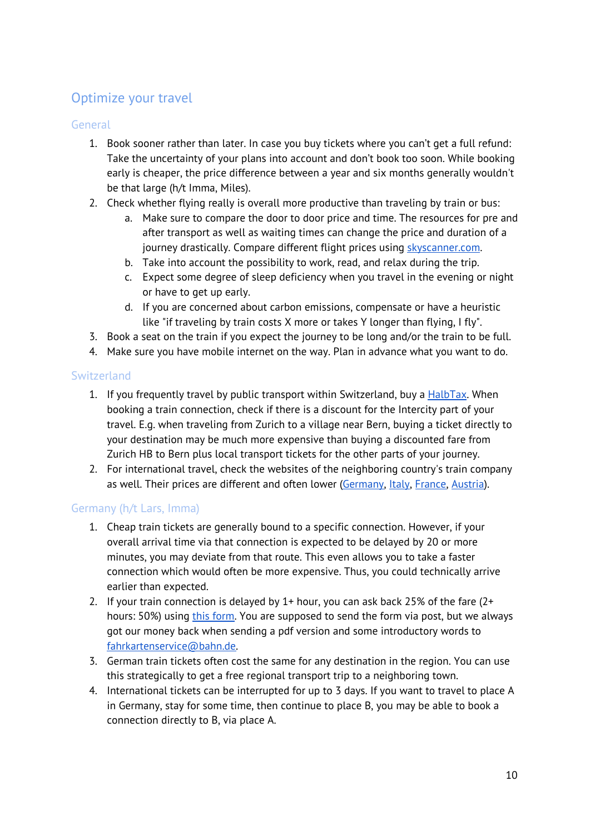# <span id="page-9-0"></span>Optimize your travel

#### **General**

- 1. Book sooner rather than later. In case you buy tickets where you can't get a full refund: Take the uncertainty of your plans into account and don't book too soon. While booking early is cheaper, the price difference between a year and six months generally wouldn't be that large (h/t Imma, Miles).
- 2. Check whether flying really is overall more productive than traveling by train or bus:
	- a. Make sure to compare the door to door price and time. The resources for pre and after transport as well as waiting times can change the price and duration of a journey drastically. Compare different flight prices using **[skyscanner.com](http://skyscanner.com/)**.
	- b. Take into account the possibility to work, read, and relax during the trip.
	- c. Expect some degree of sleep deficiency when you travel in the evening or night or have to get up early.
	- d. If you are concerned about carbon emissions, compensate or have a heuristic like "if traveling by train costs X more or takes Y longer than flying, I fly".
- 3. Book a seat on the train if you expect the journey to be long and/or the train to be full.
- 4. Make sure you have mobile internet on the way. Plan in advance what you want to do.

#### Switzerland

- 1. If you frequently travel by public transport within Switzerland, buy a **[HalbTax](https://www.sbb.ch/en/travelcards-and-tickets/railpasses/half-fare-travelcard.html)**. When booking a train connection, check if there is a discount for the Intercity part of your travel. E.g. when traveling from Zurich to a village near Bern, buying a ticket directly to your destination may be much more expensive than buying a discounted fare from Zurich HB to Bern plus local transport tickets for the other parts of your journey.
- 2. For international travel, check the websites of the neighboring country's train company as well. Their prices are different and often lower [\(Germany,](https://www.bahn.com/en/view/index.shtmlhttps://www.bahn.com/en/view/index.shtml) [Italy](https://www.trenitalia.com/en.html), [France,](https://en.oui.sncf/en/train-ticket) [Austria](https://www.oebb.at/en/)).

#### Germany (h/t Lars, Imma)

- 1. Cheap train tickets are generally bound to a specific connection. However, if your overall arrival time via that connection is expected to be delayed by 20 or more minutes, you may deviate from that route. This even allows you to take a faster connection which would often be more expensive. Thus, you could technically arrive earlier than expected.
- 2. If your train connection is delayed by 1+ hour, you can ask back 25% of the fare (2+ hours: 50%) using this [form.](https://www.bahn.de/p/view/service/auskunft/fahrgastrechte/entschaedigung.shtml) You are supposed to send the form via post, but we always got our money back when sending a pdf version and some introductory words to [fahrkartenservice@bahn.de.](mailto:fahrkartenservice@bahn.de)
- 3. German train tickets often cost the same for any destination in the region. You can use this strategically to get a free regional transport trip to a neighboring town.
- 4. International tickets can be interrupted for up to 3 days. If you want to travel to place A in Germany, stay for some time, then continue to place B, you may be able to book a connection directly to B, via place A.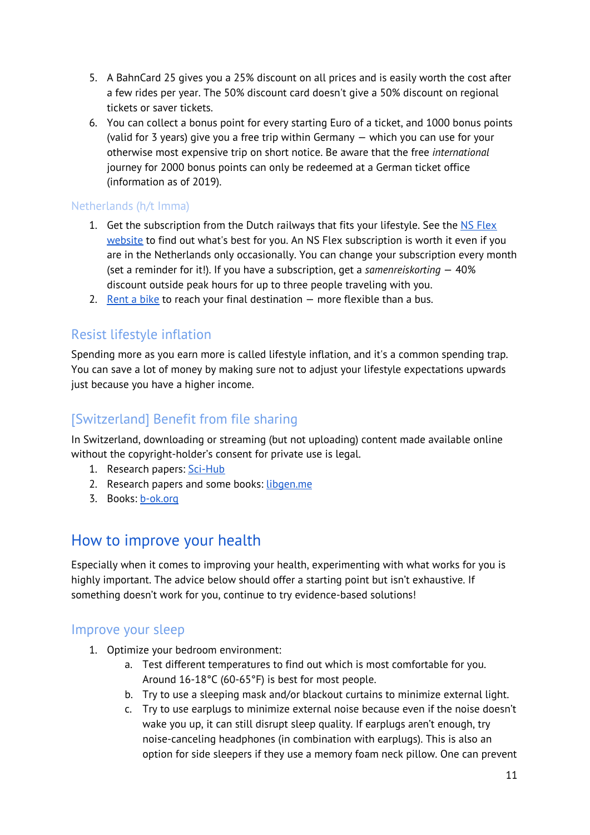- 5. A BahnCard 25 gives you a 25% discount on all prices and is easily worth the cost after a few rides per year. The 50% discount card doesn't give a 50% discount on regional tickets or saver tickets.
- 6. You can collect a bonus point for every starting Euro of a ticket, and 1000 bonus points (valid for 3 years) give you a free trip within Germany — which you can use for your otherwise most expensive trip on short notice. Be aware that the free *international* journey for 2000 bonus points can only be redeemed at a German ticket office (information as of 2019).

#### Netherlands (h/t Imma)

- 1. Get the subscription from the Dutch railways that fits your lifestyle. See the NS [Flex](https://www.ns.nl/en/nsflex/webshop#/bestelling/producten) [website](https://www.ns.nl/en/nsflex/webshop#/bestelling/producten) to find out what's best for you. An NS Flex subscription is worth it even if you are in the Netherlands only occasionally. You can change your subscription every month (set a reminder for it!). If you have a subscription, get a *samenreiskorting* — 40% discount outside peak hours for up to three people traveling with you.
- 2. [Rent](https://www.ns.nl/en/door-to-door/ov-fiets) a bike to reach your final destination  $-$  more flexible than a bus.

#### <span id="page-10-0"></span>Resist lifestyle inflation

Spending more as you earn more is called lifestyle inflation, and it's a common spending trap. You can save a lot of money by making sure not to adjust your lifestyle expectations upwards just because you have a higher income.

### <span id="page-10-1"></span>[Switzerland] Benefit from file sharing

In Switzerland, downloading or streaming (but not uploading) content made available online without the copyright-holder's consent for private use is legal.

- 1. Research papers: [Sci-Hub](https://sci-hub.se/)
- 2. Research papers and some books: [libgen.me](https://libgen.me/)
- <span id="page-10-2"></span>3. Books: [b-ok.org](http://b-ok.org/)

### How to improve your health

Especially when it comes to improving your health, experimenting with what works for you is highly important. The advice below should offer a starting point but isn't exhaustive. If something doesn't work for you, continue to try evidence-based solutions!

#### <span id="page-10-3"></span>Improve your sleep

- 1. Optimize your bedroom environment:
	- a. Test different temperatures to find out which is most comfortable for you. Around 16-18°C (60-65°F) is best for most people.
	- b. Try to use a sleeping mask and/or blackout curtains to minimize external light.
	- c. Try to use earplugs to minimize external noise because even if the noise doesn't wake you up, it can still disrupt sleep quality. If earplugs aren't enough, try noise-canceling headphones (in combination with earplugs). This is also an option for side sleepers if they use a memory foam neck pillow. One can prevent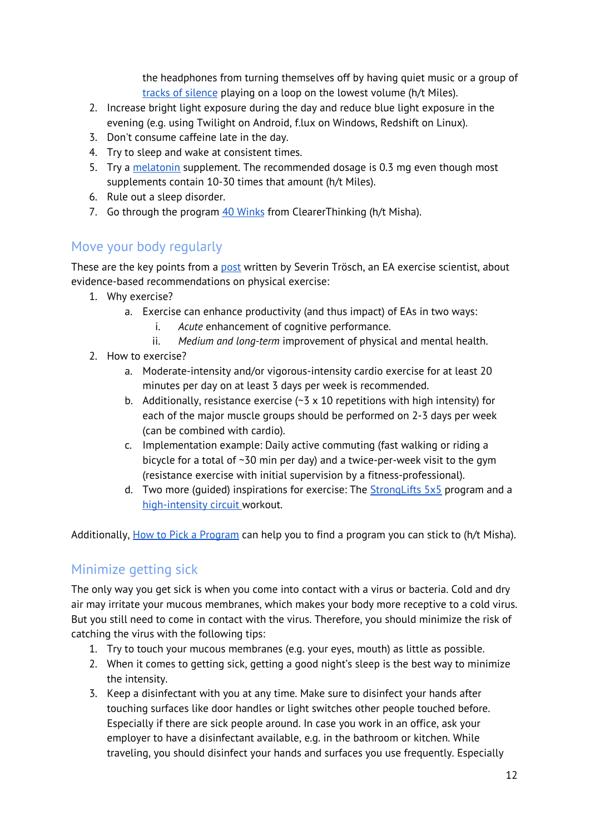the headphones from turning themselves off by having quiet music or a group of tracks of [silence](https://github.com/anars/blank-audio) playing on a loop on the lowest volume (h/t Miles).

- 2. Increase bright light exposure during the day and reduce blue light exposure in the evening (e.g. using Twilight on Android, f.lux on Windows, Redshift on Linux).
- 3. Don't consume caffeine late in the day.
- 4. Try to sleep and wake at consistent times.
- 5. Try a [melatonin](https://slatestarcodex.com/2018/07/10/melatonin-much-more-than-you-wanted-to-know/) supplement. The recommended dosage is 0.3 mg even though most supplements contain 10-30 times that amount (h/t Miles).
- 6. Rule out a sleep disorder.
- 7. Go through the program 40 [Winks](https://programs.clearerthinking.org/40_winks.html) from ClearerThinking (h/t Misha).

### <span id="page-11-0"></span>Move your body regularly

These are the key points from a [post](https://forum.effectivealtruism.org/posts/St3PGuJyquze9TJhx/physical-exercise-for-eas-why-and-how-1) written by Severin Trösch, an EA exercise scientist, about evidence-based recommendations on physical exercise:

- 1. Why exercise?
	- a. Exercise can enhance productivity (and thus impact) of EAs in two ways:
		- i. *Acute* enhancement of cognitive performance.
		- ii. *Medium and long-term* improvement of physical and mental health.
- 2. How to exercise?
	- a. Moderate-intensity and/or vigorous-intensity cardio exercise for at least 20 minutes per day on at least 3 days per week is recommended.
	- b. Additionally, resistance exercise  $(-3 \times 10$  repetitions with high intensity) for each of the major muscle groups should be performed on 2-3 days per week (can be combined with cardio).
	- c. Implementation example: Daily active commuting (fast walking or riding a bicycle for a total of ~30 min per day) and a twice-per-week visit to the gym (resistance exercise with initial supervision by a fitness-professional).
	- d. Two more (quided) inspirations for exercise: The  $StrongLifts$  5x5 program and a [high-intensity](https://journals.lww.com/acsm-healthfitness/fulltext/2013/05000/high_intensity_circuit_training_using_body_weight_.5.aspx) circuit workout.

<span id="page-11-1"></span>Additionally, How to Pick a [Program](https://darebee.com/pick-a-program.html) can help you to find a program you can stick to (h/t Misha).

# Minimize getting sick

The only way you get sick is when you come into contact with a virus or bacteria. Cold and dry air may irritate your mucous membranes, which makes your body more receptive to a cold virus. But you still need to come in contact with the virus. Therefore, you should minimize the risk of catching the virus with the following tips:

- 1. Try to touch your mucous membranes (e.g. your eyes, mouth) as little as possible.
- 2. When it comes to getting sick, getting a good night's sleep is the best way to minimize the intensity.
- 3. Keep a disinfectant with you at any time. Make sure to disinfect your hands after touching surfaces like door handles or light switches other people touched before. Especially if there are sick people around. In case you work in an office, ask your employer to have a disinfectant available, e.g. in the bathroom or kitchen. While traveling, you should disinfect your hands and surfaces you use frequently. Especially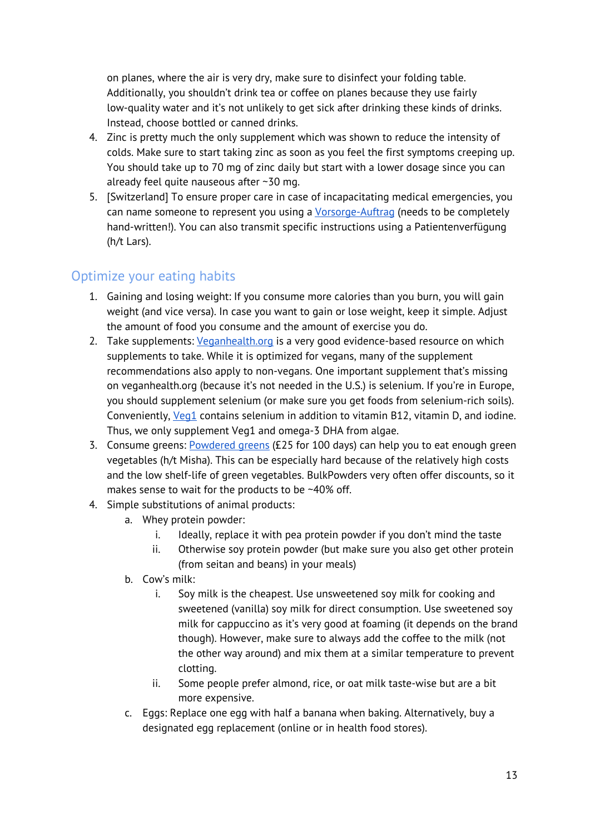on planes, where the air is very dry, make sure to disinfect your folding table. Additionally, you shouldn't drink tea or coffee on planes because they use fairly low-quality water and it's not unlikely to get sick after drinking these kinds of drinks. Instead, choose bottled or canned drinks.

- 4. Zinc is pretty much the only supplement which was shown to reduce the intensity of colds. Make sure to start taking zinc as soon as you feel the first symptoms creeping up. You should take up to 70 mg of zinc daily but start with a lower dosage since you can already feel quite nauseous after ~30 mg.
- 5. [Switzerland] To ensure proper care in case of incapacitating medical emergencies, you can name someone to represent you using a [Vorsorge-Auftrag](http://vorsorgeauftrag-vorlage.ch/wp-content/uploads/2017/05/Vorlage-Vorsorgeauftrag.pdf) (needs to be completely hand-written!). You can also transmit specific instructions using a Patientenverfügung (h/t Lars).

### <span id="page-12-0"></span>Optimize your eating habits

- 1. Gaining and losing weight: If you consume more calories than you burn, you will gain weight (and vice versa). In case you want to gain or lose weight, keep it simple. Adjust the amount of food you consume and the amount of exercise you do.
- 2. Take supplements: *[Veganhealth.org](https://veganhealth.org/daily-needs/)* is a very good evidence-based resource on which supplements to take. While it is optimized for vegans, many of the supplement recommendations also apply to non-vegans. One important supplement that's missing on veganhealth.org (because it's not needed in the U.S.) is selenium. If you're in Europe, you should supplement selenium (or make sure you get foods from selenium-rich soils). Conveniently, *[Veg1](https://www.vegansociety.com/shop/supplements/veg-1-blackcurrant-180-tablets)* contains selenium in addition to vitamin B12, vitamin D, and iodine. Thus, we only supplement Veg1 and omega-3 DHA from algae.
- 3. Consume greens: [Powdered](https://www.bulkpowders.co.uk/complete-greens.html) greens (£25 for 100 days) can help you to eat enough green vegetables (h/t Misha). This can be especially hard because of the relatively high costs and the low shelf-life of green vegetables. BulkPowders very often offer discounts, so it makes sense to wait for the products to be ~40% off.
- 4. Simple substitutions of animal products:
	- a. Whey protein powder:
		- i. Ideally, replace it with pea protein powder if you don't mind the taste
		- ii. Otherwise soy protein powder (but make sure you also get other protein (from seitan and beans) in your meals)
	- b. Cow's milk:
		- i. Soy milk is the cheapest. Use unsweetened soy milk for cooking and sweetened (vanilla) soy milk for direct consumption. Use sweetened soy milk for cappuccino as it's very good at foaming (it depends on the brand though). However, make sure to always add the coffee to the milk (not the other way around) and mix them at a similar temperature to prevent clotting.
		- ii. Some people prefer almond, rice, or oat milk taste-wise but are a bit more expensive.
	- c. Eggs: Replace one egg with half a banana when baking. Alternatively, buy a designated egg replacement (online or in health food stores).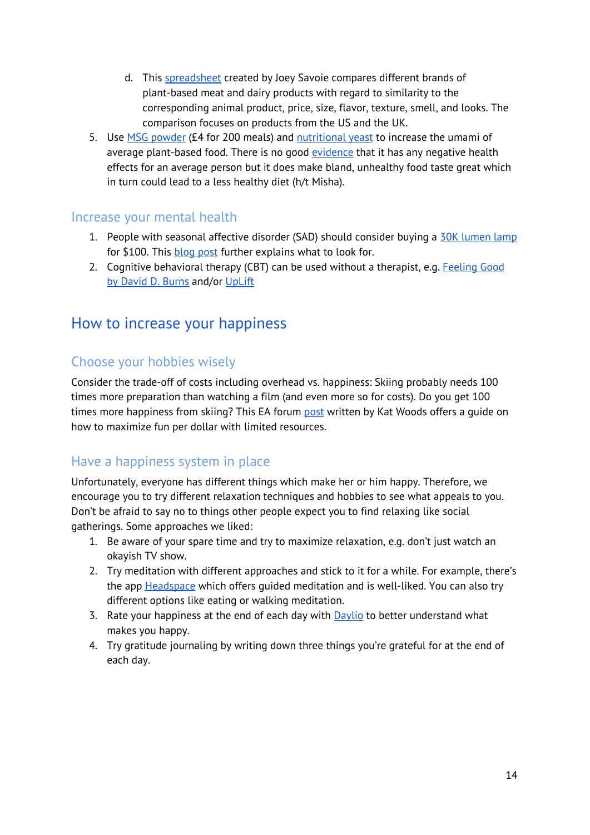- d. This [spreadsheet](https://docs.google.com/spreadsheets/d/1FyWm_r7qHsvpwvdXPzdFoboSPbgmTAX_zEfWvnTQtUQ/edit#gid=0) created by Joey Savoie compares different brands of plant-based meat and dairy products with regard to similarity to the corresponding animal product, price, size, flavor, texture, smell, and looks. The comparison focuses on products from the US and the UK.
- 5. Use MSG [powder](https://www.amazon.co.uk/Ajinomoto-MONOSODIUM-GLUTAMATE-454G-1LB/dp/B0050O7N4C/ref=sr_1_2?dchild=1&keywords=msg&qid=1586602913&sr=8-2) (£4 for 200 meals) and [nutritional](https://www.amazon.co.uk/Nutritional-Yeast-Flakes-Tasting-Premium/dp/B07LBRN88S/ref=sr_1_12?crid=38KW28E63F8FA&dchild=1&keywords=nutritional+yeast&qid=1586604191&sprefix=nutritional+%2Caps%2C187&sr=8-12) yeast to increase the umami of average plant-based food. There is no good [evidence](https://www.youtube.com/watch?v=E-POAKKH5IM) that it has any negative health effects for an average person but it does make bland, unhealthy food taste great which in turn could lead to a less healthy diet (h/t Misha).

#### <span id="page-13-0"></span>Increase your mental health

- 1. People with seasonal affective disorder (SAD) should consider buying a 30K [lumen](https://amzn.to/35uO93c) lamp for \$100. This [blog](https://www.benkuhn.net/lux) post further explains what to look for.
- 2. Cognitive behavioral therapy (CBT) can be used without a therapist, e.g. [Feeling](https://feelinggood.com/) Good by [David](https://feelinggood.com/) D. Burns and/or [UpLift](https://www.uplift.app/)

# <span id="page-13-1"></span>How to increase your happiness

# <span id="page-13-2"></span>Choose your hobbies wisely

Consider the trade-off of costs including overhead vs. happiness: Skiing probably needs 100 times more preparation than watching a film (and even more so for costs). Do you get 100 times more happiness from skiing? This EA forum [post](https://forum.effectivealtruism.org/posts/oQCew7TYn35HycJpq/how-to-have-cost-effective-fun) written by Kat Woods offers a quide on how to maximize fun per dollar with limited resources.

#### <span id="page-13-3"></span>Have a happiness system in place

Unfortunately, everyone has different things which make her or him happy. Therefore, we encourage you to try different relaxation techniques and hobbies to see what appeals to you. Don't be afraid to say no to things other people expect you to find relaxing like social gatherings. Some approaches we liked:

- 1. Be aware of your spare time and try to maximize relaxation, e.g. don't just watch an okayish TV show.
- 2. Try meditation with different approaches and stick to it for a while. For example, there's the app **[Headspace](https://www.headspace.com/)** which offers guided meditation and is well-liked. You can also try different options like eating or walking meditation.
- 3. Rate your happiness at the end of each day with [Daylio](https://daylio.webflow.io/) to better understand what makes you happy.
- 4. Try gratitude journaling by writing down three things you're grateful for at the end of each day.